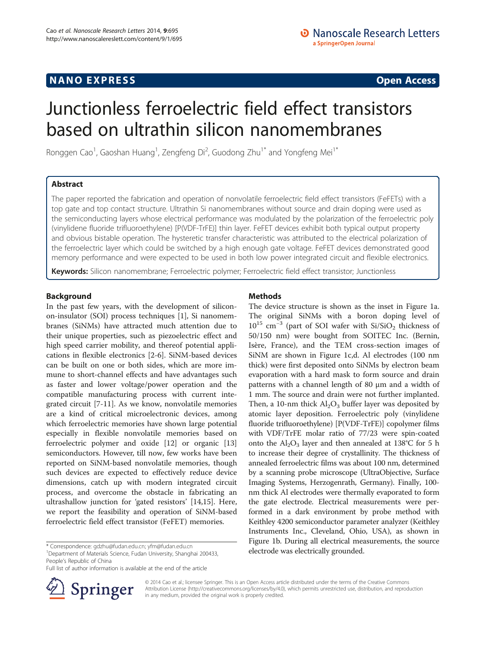## **NANO EXPRESS** Open Access and the set of the set of the set of the set of the set of the set of the set of the set of the set of the set of the set of the set of the set of the set of the set of the set of the set of the

# Junctionless ferroelectric field effect transistors based on ultrathin silicon nanomembranes

Ronggen Cao<sup>1</sup>, Gaoshan Huang<sup>1</sup>, Zengfeng Di<sup>2</sup>, Guodong Zhu<sup>1\*</sup> and Yongfeng Mei<sup>1\*</sup>

## Abstract

The paper reported the fabrication and operation of nonvolatile ferroelectric field effect transistors (FeFETs) with a top gate and top contact structure. Ultrathin Si nanomembranes without source and drain doping were used as the semiconducting layers whose electrical performance was modulated by the polarization of the ferroelectric poly (vinylidene fluoride trifluoroethylene) [P(VDF-TrFE)] thin layer. FeFET devices exhibit both typical output property and obvious bistable operation. The hysteretic transfer characteristic was attributed to the electrical polarization of the ferroelectric layer which could be switched by a high enough gate voltage. FeFET devices demonstrated good memory performance and were expected to be used in both low power integrated circuit and flexible electronics.

Keywords: Silicon nanomembrane; Ferroelectric polymer; Ferroelectric field effect transistor; Junctionless

## Background

In the past few years, with the development of siliconon-insulator (SOI) process techniques [[1\]](#page-4-0), Si nanomembranes (SiNMs) have attracted much attention due to their unique properties, such as piezoelectric effect and high speed carrier mobility, and thereof potential applications in flexible electronics [[2-6\]](#page-4-0). SiNM-based devices can be built on one or both sides, which are more immune to short-channel effects and have advantages such as faster and lower voltage/power operation and the compatible manufacturing process with current integrated circuit [\[7](#page-4-0)-[11\]](#page-4-0). As we know, nonvolatile memories are a kind of critical microelectronic devices, among which ferroelectric memories have shown large potential especially in flexible nonvolatile memories based on ferroelectric polymer and oxide [\[12\]](#page-4-0) or organic [[13](#page-4-0)] semiconductors. However, till now, few works have been reported on SiNM-based nonvolatile memories, though such devices are expected to effectively reduce device dimensions, catch up with modern integrated circuit process, and overcome the obstacle in fabricating an ultrashallow junction for 'gated resistors' [[14,15\]](#page-4-0). Here, we report the feasibility and operation of SiNM-based ferroelectric field effect transistor (FeFET) memories.

<sup>1</sup>Department of Materials Science, Fudan University, Shanghai 200433, People's Republic of China

Full list of author information is available at the end of the article

## Methods

The device structure is shown as the inset in Figure [1](#page-1-0)a. The original SiNMs with a boron doping level of  $10^{15}$  cm<sup>-3</sup> (part of SOI wafer with Si/SiO<sub>2</sub> thickness of 50/150 nm) were bought from SOITEC Inc. (Bernin, Isère, France), and the TEM cross-section images of SiNM are shown in Figure [1](#page-1-0)c,d. Al electrodes (100 nm thick) were first deposited onto SiNMs by electron beam evaporation with a hard mask to form source and drain patterns with a channel length of 80 μm and a width of 1 mm. The source and drain were not further implanted. Then, a 10-nm thick  $\text{Al}_2\text{O}_3$  buffer layer was deposited by atomic layer deposition. Ferroelectric poly (vinylidene fluoride trifluoroethylene) [P(VDF-TrFE)] copolymer films with VDF/TrFE molar ratio of 77/23 were spin-coated onto the  $Al_2O_3$  layer and then annealed at 138°C for 5 h to increase their degree of crystallinity. The thickness of annealed ferroelectric films was about 100 nm, determined by a scanning probe microscope (UltraObjective, Surface Imaging Systems, Herzogenrath, Germany). Finally, 100 nm thick Al electrodes were thermally evaporated to form the gate electrode. Electrical measurements were performed in a dark environment by probe method with Keithley 4200 semiconductor parameter analyzer (Keithley Instruments Inc., Cleveland, Ohio, USA), as shown in Figure [1](#page-1-0)b. During all electrical measurements, the source electrode was electrically grounded. \* Correspondence: gdzhu@fudan.edu.cn 1.1.2. 1.1.2. 1.1.2. 1.1.1.2. 1.1.1.2. 1.1.1.2. 1.1.1.2. 1.1.1.2. 1.1.1.2. 1.1.1.2. 1.1.1.2. 1.1.1.2. 1.1.1.2. 1.1.1.2. 1.1.1.2. 1.1.1.2. 1.1.1.2. 1

> © 2014 Cao et al.; licensee Springer. This is an Open Access article distributed under the terms of the Creative Commons Attribution License [\(http://creativecommons.org/licenses/by/4.0\)](http://creativecommons.org/licenses/by/4.0), which permits unrestricted use, distribution, and reproduction in any medium, provided the original work is properly credited.

Springer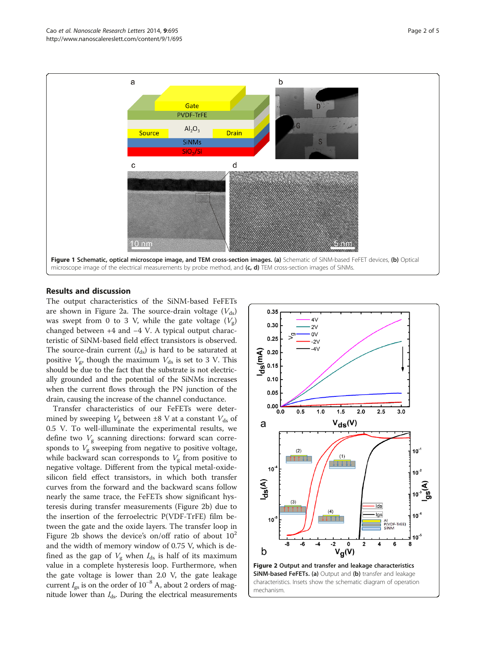<span id="page-1-0"></span>

## Results and discussion

The output characteristics of the SiNM-based FeFETs are shown in Figure 2a. The source-drain voltage  $(V_{ds})$ was swept from 0 to 3 V, while the gate voltage  $(V_{\sigma})$ changed between +4 and −4 V. A typical output characteristic of SiNM-based field effect transistors is observed. The source-drain current  $(I_{ds})$  is hard to be saturated at positive  $V_g$ , though the maximum  $V_{ds}$  is set to 3 V. This should be due to the fact that the substrate is not electrically grounded and the potential of the SiNMs increases when the current flows through the PN junction of the drain, causing the increase of the channel conductance.

Transfer characteristics of our FeFETs were determined by sweeping  $V_g$  between  $\pm 8$  V at a constant  $V_{ds}$  of 0.5 V. To well-illuminate the experimental results, we define two  $V_{\rm g}$  scanning directions: forward scan corresponds to  $V_{\rm g}$  sweeping from negative to positive voltage, while backward scan corresponds to  $V<sub>g</sub>$  from positive to negative voltage. Different from the typical metal-oxidesilicon field effect transistors, in which both transfer curves from the forward and the backward scans follow nearly the same trace, the FeFETs show significant hysteresis during transfer measurements (Figure 2b) due to the insertion of the ferroelectric P(VDF-TrFE) film between the gate and the oxide layers. The transfer loop in Figure 2b shows the device's on/off ratio of about  $10<sup>2</sup>$ and the width of memory window of 0.75 V, which is defined as the gap of  $V_g$  when  $I_{ds}$  is half of its maximum value in a complete hysteresis loop. Furthermore, when the gate voltage is lower than 2.0 V, the gate leakage current  $I_{\rm gs}$  is on the order of 10<sup>-8</sup> A, about 2 orders of magnitude lower than  $I_{ds}$ . During the electrical measurements

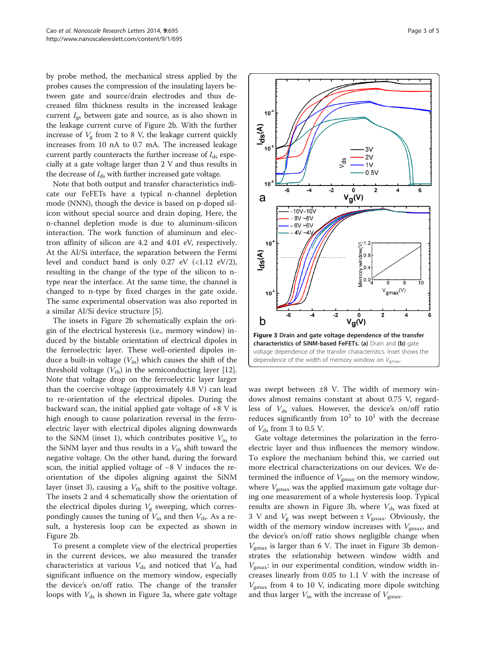<span id="page-2-0"></span>by probe method, the mechanical stress applied by the probes causes the compression of the insulating layers between gate and source/drain electrodes and thus decreased film thickness results in the increased leakage current  $I_{gs}$  between gate and source, as is also shown in the leakage current curve of Figure [2b](#page-1-0). With the further increase of  $V_g$  from 2 to 8 V, the leakage current quickly increases from 10 nA to 0.7 mA. The increased leakage current partly counteracts the further increase of  $I_{ds}$  especially at a gate voltage larger than 2 V and thus results in the decrease of  $I_{ds}$  with further increased gate voltage.

Note that both output and transfer characteristics indicate our FeFETs have a typical n-channel depletion mode (NNN), though the device is based on p-doped silicon without special source and drain doping. Here, the n-channel depletion mode is due to aluminum-silicon interaction. The work function of aluminum and electron affinity of silicon are 4.2 and 4.01 eV, respectively. At the Al/Si interface, the separation between the Fermi level and conduct band is only 0.27 eV  $(\langle 1.12 \text{ eV}/2),$ resulting in the change of the type of the silicon to ntype near the interface. At the same time, the channel is changed to n-type by fixed charges in the gate oxide. The same experimental observation was also reported in a similar Al/Si device structure [[5\]](#page-4-0).

The insets in Figure [2](#page-1-0)b schematically explain the origin of the electrical hysteresis (i.e., memory window) induced by the bistable orientation of electrical dipoles in the ferroelectric layer. These well-oriented dipoles induce a built-in voltage  $(V_{in})$  which causes the shift of the threshold voltage  $(V_{\text{th}})$  in the semiconducting layer [\[12](#page-4-0)]. Note that voltage drop on the ferroelectric layer larger than the coercive voltage (approximately 4.8 V) can lead to re-orientation of the electrical dipoles. During the backward scan, the initial applied gate voltage of  $+8$  V is high enough to cause polarization reversal in the ferroelectric layer with electrical dipoles aligning downwards to the SiNM (inset 1), which contributes positive  $V_{\text{in}}$  to the SiNM layer and thus results in a  $V_{\text{th}}$  shift toward the negative voltage. On the other hand, during the forward scan, the initial applied voltage of −8 V induces the reorientation of the dipoles aligning against the SiNM layer (inset 3), causing a  $V_{\text{th}}$  shift to the positive voltage. The insets 2 and 4 schematically show the orientation of the electrical dipoles during  $V<sub>g</sub>$  sweeping, which correspondingly causes the tuning of  $V_{\text{in}}$  and then  $V_{\text{th}}$ . As a result, a hysteresis loop can be expected as shown in Figure [2](#page-1-0)b.

To present a complete view of the electrical properties in the current devices, we also measured the transfer characteristics at various  $V_{ds}$  and noticed that  $V_{ds}$  had significant influence on the memory window, especially the device's on/off ratio. The change of the transfer loops with  $V_{ds}$  is shown in Figure 3a, where gate voltage



was swept between ±8 V. The width of memory windows almost remains constant at about 0.75 V, regardless of  $V_{ds}$  values. However, the device's on/off ratio reduces significantly from  $10^2$  to  $10^1$  with the decrease of  $V_{ds}$  from 3 to 0.5 V.

Gate voltage determines the polarization in the ferroelectric layer and thus influences the memory window. To explore the mechanism behind this, we carried out more electrical characterizations on our devices. We determined the influence of  $V_{\text{gmax}}$  on the memory window, where  $V_{\text{gmax}}$  was the applied maximum gate voltage during one measurement of a whole hysteresis loop. Typical results are shown in Figure 3b, where  $V_{ds}$  was fixed at 3 V and  $V_{\rm g}$  was swept between  $\pm V_{\rm gmax}$ . Obviously, the width of the memory window increases with  $V_{\text{grav}}$ , and the device's on/off ratio shows negligible change when  $V_{\text{gmax}}$  is larger than 6 V. The inset in Figure 3b demonstrates the relationship between window width and  $V_{\text{max}}$ : in our experimental condition, window width increases linearly from 0.05 to 1.1 V with the increase of  $V_{\text{gmax}}$  from 4 to 10 V, indicating more dipole switching and thus larger  $V_{\text{in}}$  with the increase of  $V_{\text{gmax}}$ .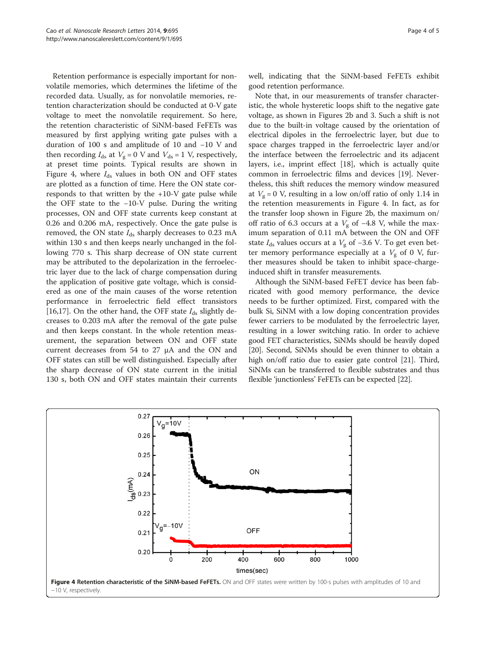Retention performance is especially important for nonvolatile memories, which determines the lifetime of the recorded data. Usually, as for nonvolatile memories, retention characterization should be conducted at 0-V gate voltage to meet the nonvolatile requirement. So here, the retention characteristic of SiNM-based FeFETs was measured by first applying writing gate pulses with a duration of 100 s and amplitude of 10 and −10 V and then recording  $I_{ds}$  at  $V_g = 0$  V and  $V_{ds} = 1$  V, respectively, at preset time points. Typical results are shown in Figure 4, where  $I_{ds}$  values in both ON and OFF states are plotted as a function of time. Here the ON state corresponds to that written by the +10-V gate pulse while the OFF state to the −10-V pulse. During the writing processes, ON and OFF state currents keep constant at 0.26 and 0.206 mA, respectively. Once the gate pulse is removed, the ON state  $I_{ds}$  sharply decreases to 0.23 mA within 130 s and then keeps nearly unchanged in the following 770 s. This sharp decrease of ON state current may be attributed to the depolarization in the ferroelectric layer due to the lack of charge compensation during the application of positive gate voltage, which is considered as one of the main causes of the worse retention performance in ferroelectric field effect transistors [[16,17\]](#page-4-0). On the other hand, the OFF state  $I_{ds}$  slightly decreases to 0.203 mA after the removal of the gate pulse and then keeps constant. In the whole retention measurement, the separation between ON and OFF state current decreases from 54 to 27 μA and the ON and OFF states can still be well distinguished. Especially after the sharp decrease of ON state current in the initial 130 s, both ON and OFF states maintain their currents

well, indicating that the SiNM-based FeFETs exhibit good retention performance.

Note that, in our measurements of transfer characteristic, the whole hysteretic loops shift to the negative gate voltage, as shown in Figures [2b](#page-1-0) and [3](#page-2-0). Such a shift is not due to the built-in voltage caused by the orientation of electrical dipoles in the ferroelectric layer, but due to space charges trapped in the ferroelectric layer and/or the interface between the ferroelectric and its adjacent layers, i.e., imprint effect [\[18](#page-4-0)], which is actually quite common in ferroelectric films and devices [\[19](#page-4-0)]. Nevertheless, this shift reduces the memory window measured at  $V_g = 0$  V, resulting in a low on/off ratio of only 1.14 in the retention measurements in Figure 4. In fact, as for the transfer loop shown in Figure [2](#page-1-0)b, the maximum on/ off ratio of 6.3 occurs at a  $V_g$  of −4.8 V, while the maximum separation of 0.11 mA between the ON and OFF state  $I_{ds}$  values occurs at a  $V_g$  of −3.6 V. To get even better memory performance especially at a  $V_g$  of 0 V, further measures should be taken to inhibit space-chargeinduced shift in transfer measurements.

Although the SiNM-based FeFET device has been fabricated with good memory performance, the device needs to be further optimized. First, compared with the bulk Si, SiNM with a low doping concentration provides fewer carriers to be modulated by the ferroelectric layer, resulting in a lower switching ratio. In order to achieve good FET characteristics, SiNMs should be heavily doped [[20](#page-4-0)]. Second, SiNMs should be even thinner to obtain a high on/off ratio due to easier gate control [\[21](#page-4-0)]. Third, SiNMs can be transferred to flexible substrates and thus flexible 'junctionless' FeFETs can be expected [[22](#page-4-0)].